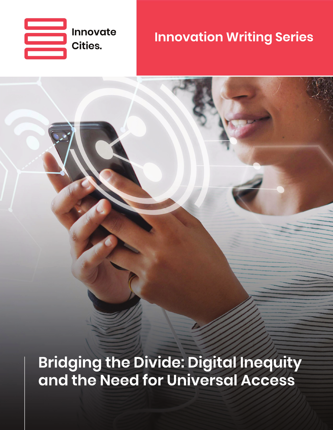

## **Innovation Writing Series**

**Bridging the Divide: Digital Inequity** and the Need for Universal Access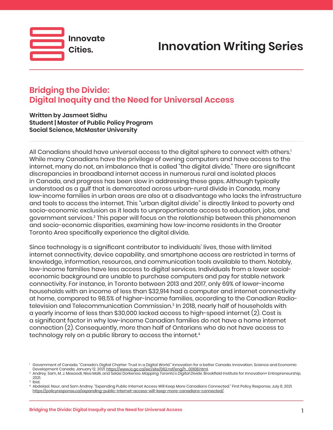



**Written by Jasmeet Sidhu Student | Master of Public Policy Program Social Science, McMaster University** 

Innovate

Cities.

All Canadians should have universal access to the digital sphere to connect with others.<sup>1</sup> While many Canadians have the privilege of owning computers and have access to the internet, many do not, an imbalance that is called "the digital divide." There are significant discrepancies in broadband internet access in numerous rural and isolated places in Canada, and progress has been slow in addressing these gaps. Although typically understood as a gulf that is demarcated across urban-rural divide in Canada, many low-income families in urban areas are also at a disadvantage who lacks the infrastructure and tools to access the internet. This "urban digital divide" is directly linked to poverty and socio-economic exclusion as it leads to unproportionate access to education, jobs, and government services.<sup>2</sup> This paper will focus on the relationship between this phenomenon and socio-economic disparities, examining how low-income residents in the Greater Toronto Area specifically experience the digital divide.

Since technology is a significant contributor to individuals' lives, those with limited internet connectivity, device capability, and smartphone access are restricted in terms of knowledge, information, resources, and communication tools available to them. Notably, low-income families have less access to digital services. Individuals from a lower socialeconomic background are unable to purchase computers and pay for stable network connectivity. For instance, in Toronto between 2013 and 2017, only 69% of lower-income households with an income of less than \$32,914 had a computer and internet connectivity at home, compared to 98.5% of higher-income families, according to the Canadian Radiotelevision and Telecommunication Commission.3 In 2018, nearly half of households with a yearly income of less than \$30,000 lacked access to high-speed internet (2). Cost is a significant factor in why low-income Canadian families do not have a home internet connection (2). Consequently, more than half of Ontarians who do not have access to technology rely on a public library to access the internet.<sup>4</sup>

<sup>1</sup> Government of Canada. "Canada's Digital Charter: Trust in a Digital World." Innovation for a better Canada. Innovation, Science and Economic

Development Canada, January 12, 2021[.](https://www.ic.gc.ca/eic/site/062.nsf/eng/h_00108.html) <u>https://www.ic.gc.ca/eic/site/062.nsf/eng/h\_00108.htm</u>l.<br>Andrey, Sam, M. J. Masoodi, Nisa Malli, and Selasi Dorkenoo. *Mapping Toronto's Digital Divide.* Brookfield Institute for Inno 2021.

<sup>3</sup> Ibid.

<sup>4</sup> Abdelaal, Nour, and Sam Andrey. "Expanding Public Internet Access Will Keep More Canadians Connected." First Policy Response, July 8, 2021. [https://policyresponse.ca/expanding-public-internet-access-will-keep-more-canadians-connected/](https://policyresponse.ca/expanding-public-internet-access-will-keep-more-canadians-connected).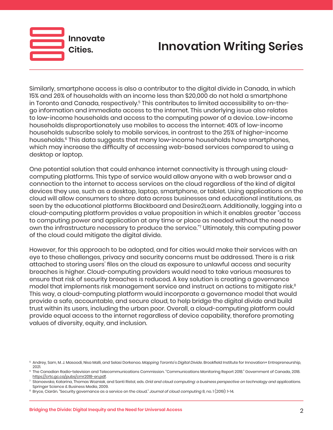

## **Innovation Writing Series**

Similarly, smartphone access is also a contributor to the digital divide in Canada, in which 15% and 26% of households with an income less than \$20,000 do not hold a smartphone in Toronto and Canada, respectively.<sup>5</sup> This contributes to limited accessibility to on-thego information and immediate access to the internet. This underlying issue also relates to low-income households and access to the computing power of a device. Low-income households disproportionately use mobiles to access the internet: 40% of low-income households subscribe solely to mobile services, in contrast to the 25% of higher-income households.<sup>6</sup> This data suggests that many low-income households have smartphones, which may increase the difficulty of accessing web-based services compared to using a desktop or laptop.

One potential solution that could enhance internet connectivity is through using cloudcomputing platforms. This type of service would allow anyone with a web browser and a connection to the internet to access services on the cloud regardless of the kind of digital devices they use, such as a desktop, laptop, smartphone, or tablet. Using applications on the cloud will allow consumers to share data across businesses and educational institutions, as seen by the educational platforms Blackboard and Desire2Learn. Additionally, logging into a cloud-computing platform provides a value proposition in which it enables greater "access to computing power and application at any time or place as needed without the need to own the infrastructure necessary to produce the service."7 Ultimately, this computing power of the cloud could mitigate the digital divide.

However, for this approach to be adopted, and for cities would make their services with an eye to these challenges, privacy and security concerns must be addressed. There is a risk attached to storing users' files on the cloud as exposure to unlawful access and security breaches is higher. Cloud-computing providers would need to take various measures to ensure that risk of security breaches is reduced. A key solution is creating a governance model that implements risk management service and instruct on actions to mitigate risk.<sup>8</sup> This way, a cloud-computing platform would incorporate a governance model that would provide a safe, accountable, and secure cloud, to help bridge the digital divide and build trust within its users, including the urban poor. Overall, a cloud-computing platform could provide equal access to the internet regardless of device capability, therefore promoting values of diversity, equity, and inclusion.

<sup>5</sup> Andrey, Sam, M. J. Masoodi, Nisa Malli, and Selasi Dorkenoo. *Mapping Toronto's Digital Divide*. Brookfield Institute for Innovation+ Entrepreneurship, 2021.

<sup>6</sup> The Canadian Radio-television and Telecommunications Commission. "Communications Monitoring Report 2018." Government of Canada, 2018. <u>https://crtc.gc.ca/pubs/cmr2018-en.pdf</u>.<br>Stanoevska, Katarina, Thomas Wozniak, and Santi Ristol, eds[.](https://crtc.gc.ca/pubs/cmr2018-en.pdf) *Grid and cloud computing: a business perspective on technology and applications.* 

Springer Science & Business Media, 2009.

<sup>8</sup> Bryce, Ciarán. "Security governance as a service on the cloud." *Journal of cloud computing* 8, no. 1 (2019): 1-14.